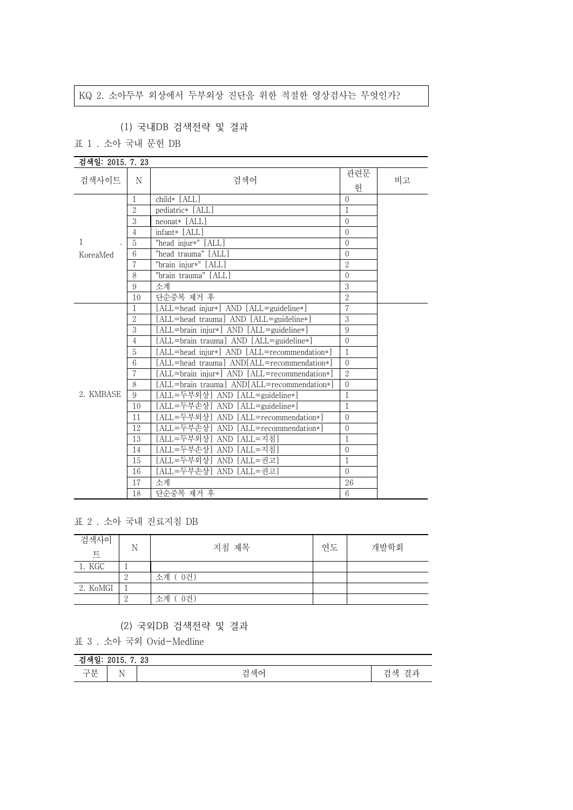## KQ 2. 소아두부 외상에서 두부외상 진단을 위한 적절한 영상검사는 무엇인가?

## (1) 국내DB 검색전략 및 결과

표 1 . 소아 국내 문헌 DB

| 검색일: 2015. 7. 23 |                |                                              |                |    |
|------------------|----------------|----------------------------------------------|----------------|----|
|                  |                |                                              | 관련문            |    |
| 검색사이트            | N              | 검색어                                          | 허              | 비고 |
|                  | $\mathbf 1$    | child* [ALL]                                 | $\Omega$       |    |
|                  | $\overline{2}$ | pediatric* [ALL]                             | 1              |    |
|                  | 3              | $neonat*$ [ALL]                              | $\theta$       |    |
|                  | $\overline{4}$ | infant* [ALL]                                | $\theta$       |    |
| 1                | 5              | "head injur*" [ALL]                          | $\Omega$       |    |
| KoreaMed         | $\,6$          | "head trauma" [ALL]                          | $\theta$       |    |
|                  | 7              | "brain injur*" [ALL]                         | $\overline{2}$ |    |
|                  | 8              | "brain trauma" [ALL]                         | $\Omega$       |    |
|                  | 9              | 소계                                           | 3              |    |
|                  | 10             | 단순중복 제거 후                                    | $\overline{2}$ |    |
|                  | 1              | [ALL=head injur*] AND [ALL=guideline*]       | $\overline{7}$ |    |
|                  | $\overline{2}$ | [ALL=head trauma] AND [ALL=guideline*]       | 3              |    |
|                  | 3              | [ALL=brain injur*] AND [ALL=guideline*]      | 9              |    |
|                  | $\overline{4}$ | [ALL=brain trauma] AND [ALL=guideline*]      | $\theta$       |    |
|                  | 5              | [ALL=head injur*] AND [ALL=recommendation*]  | $\mathbf{1}$   |    |
|                  | 6              | [ALL=head trauma] AND[ALL=recommendation*]   | $\theta$       |    |
|                  | 7              | [ALL=brain injur*] AND [ALL=recommendation*] | $\overline{2}$ |    |
|                  | 8              | [ALL=brain trauma] AND[ALL=recommendation*]  | $\theta$       |    |
| 2. KMBASE        | 9              | [ALL=두부외상] AND [ALL=guideline*]              | $\mathbf{1}$   |    |
|                  | 10             | [ALL=두부손상] AND [ALL=guideline*]              | $\mathbf{1}$   |    |
|                  | 11             | [ALL=두부외상] AND [ALL=recommendation*]         | $\theta$       |    |
|                  | 12             | [ALL=두부손상] AND [ALL=recommendation*]         | $\theta$       |    |
|                  | 13             | [ALL=두부외상] AND [ALL=지침]                      | $\mathbf{1}$   |    |
|                  | 14             | [ALL=두부손상] AND [ALL=지침]                      | $\theta$       |    |
|                  | 15             | [ALL=두부외상] AND [ALL=권고]                      | $\mathbf{1}$   |    |
|                  | 16             | [ALL=두부손상] AND [ALL=권고]                      | $\overline{0}$ |    |
|                  | 17             | 소계                                           | 26             |    |
|                  | 18             | 단순중복 제거 후                                    | 6              |    |

표 2 . 소아 국내 진료지침 DB

| 검색사이<br>트 | N | 지침 제목     | 연도 | 개발학회 |
|-----------|---|-----------|----|------|
| 1. KGC    |   |           |    |      |
|           |   | 소계 (0건)   |    |      |
| 2. KoMGI  |   |           |    |      |
|           |   | 0건)<br>소계 |    |      |

(2) 국외DB 검색전략 및 결과

표 3 . 소아 국외 Ovid-Medline

| - - - - -<br>ററ<br>-40<br>⋍<br>---                             |            |                                                   |                          |  |
|----------------------------------------------------------------|------------|---------------------------------------------------|--------------------------|--|
| $\overline{\phantom{0}}$<br>-<br>$-$<br>$\mathbf{H}$<br>$\sim$ | - -<br>. . | . — п<br>، 11 ہ<br>∿n<br>$\overline{\phantom{0}}$ | $-$<br>- 100<br>$-$<br>- |  |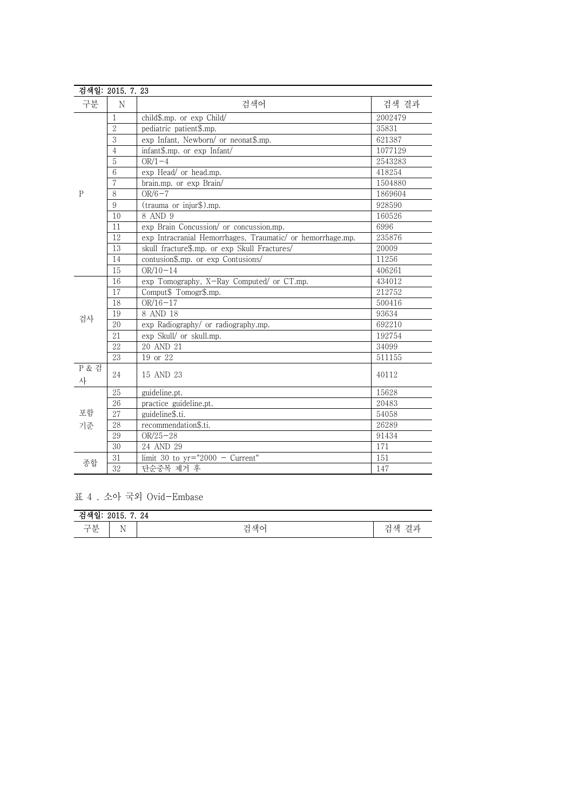|              | 검색일: 2015. 7. 23 |                                                            |         |
|--------------|------------------|------------------------------------------------------------|---------|
| 구분           | N                | 검색어                                                        | 검색 결과   |
|              | 1                | child\$.mp. or exp Child/                                  | 2002479 |
|              | $\overline{2}$   | pediatric patient\$.mp.                                    | 35831   |
|              | 3                | exp Infant, Newborn/ or neonat\$.mp.                       | 621387  |
|              | $\overline{4}$   | infant\$.mp. or exp Infant/                                | 1077129 |
|              | 5                | $OR/1-4$                                                   | 2543283 |
|              | 6                | exp Head/ or head.mp.                                      | 418254  |
|              | $\overline{7}$   | brain.mp. or exp Brain/                                    | 1504880 |
| $\mathbf{P}$ | 8                | $OR/6-7$                                                   | 1869604 |
|              | 9                | (trauma or injur\$).mp.                                    | 928590  |
|              | 10               | 8 AND 9                                                    | 160526  |
|              | 11               | exp Brain Concussion/ or concussion.mp.                    | 6996    |
|              | 12               | exp Intracranial Hemorrhages, Traumatic/ or hemorrhage.mp. | 235876  |
|              | 13               | skull fracture\$.mp. or exp Skull Fractures/               | 20009   |
|              | 14               | contusion\$.mp. or exp Contusions/                         | 11256   |
|              | 15               | $OR/10-14$                                                 | 406261  |
|              | 16               | exp Tomography, X-Ray Computed/ or CT.mp.                  | 434012  |
|              | 17               | Comput\$ Tomogr\$.mp.                                      | 212752  |
|              | 18               | $OR/16 - 17$                                               | 500416  |
| 검사           | 19               | 8 AND 18                                                   | 93634   |
|              | 20               | exp Radiography/ or radiography.mp.                        | 692210  |
|              | 21               | exp Skull/ or skull.mp.                                    | 192754  |
|              | 22               | 20 AND 21                                                  | 34099   |
|              | 23               | 19 or 22                                                   | 511155  |
| P & 검<br>사   | 24               | 15 AND 23                                                  | 40112   |
|              | 25               | guideline.pt.                                              | 15628   |
| 포함           | $\overline{26}$  | practice guideline.pt.                                     | 20483   |
|              | 27               | guideline\$.ti.                                            | 54058   |
| 기준           | 28               | recommendation\$.ti.                                       | 26289   |
|              | 29               | $OR/25 - 28$                                               | 91434   |
|              | 30               | 24 AND 29                                                  | 171     |
| 종합           | 31               | limit 30 to $yr="2000 - Current"$                          | 151     |
|              | $\overline{32}$  | 단순중복 제거 후                                                  | 147     |

표 4 . 소아 국외 Ovid-Embase

| -24<br>ᅯᇪ이<br>2010.<br>≃<br>ㄹ |                              |         |                                              |  |
|-------------------------------|------------------------------|---------|----------------------------------------------|--|
| 구보<br>乚                       | <b>AT</b><br>M<br><b>A</b> 1 | 색c<br>∸ | $-$<br>겨교<br>ᇪ<br>ستعد<br>—<br>∸<br>. .<br>▭ |  |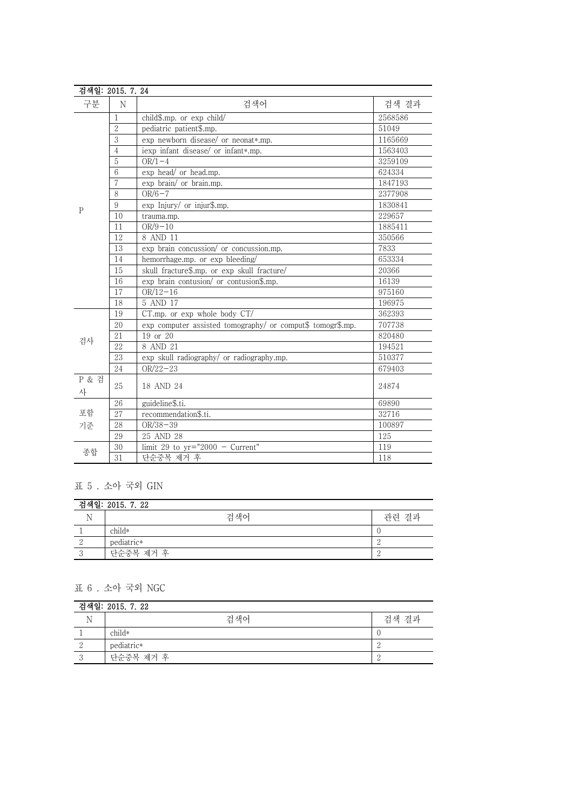| 검색일: 2015. 7. 24 |                 |                                                            |         |
|------------------|-----------------|------------------------------------------------------------|---------|
| 구분               | N               | 검색어                                                        | 검색 결과   |
|                  | 1               | child\$.mp. or exp child/                                  | 2568586 |
|                  | $\overline{2}$  | pediatric patient\$.mp.                                    | 51049   |
|                  | 3               | exp newborn disease/ or neonat*.mp.                        | 1165669 |
|                  | $\overline{4}$  | iexp infant disease/ or infant*.mp.                        | 1563403 |
|                  | 5               | $OR/1-4$                                                   | 3259109 |
|                  | 6               | exp head/ or head.mp.                                      | 624334  |
|                  | 7               | exp brain/ or brain.mp.                                    | 1847193 |
|                  | 8               | $OR/6-7$                                                   | 2377908 |
| $\mathsf{P}$     | $9\phantom{.0}$ | exp Injury/ or injur\$.mp.                                 | 1830841 |
|                  | 10              | trauma.mp.                                                 | 229657  |
|                  | 11              | $OR/9-10$                                                  | 1885411 |
|                  | 12              | 8 AND 11                                                   | 350566  |
|                  | 13              | exp brain concussion/ or concussion.mp.                    | 7833    |
|                  | 14              | hemorrhage.mp. or exp bleeding/                            | 653334  |
|                  | 15              | skull fracture\$.mp. or exp skull fracture/                | 20366   |
|                  | 16              | exp brain contusion/ or contusion\$.mp.                    | 16139   |
|                  | 17              | $OR/12-16$                                                 | 975160  |
|                  | 18              | 5 AND 17                                                   | 196975  |
|                  | 19              | $CT.mp$ , or $exp$ whole body $CT/$                        | 362393  |
|                  | 20              | exp computer assisted tomography/ or comput\$ tomogr\$.mp. | 707738  |
| 검사               | 21              | 19 or 20                                                   | 820480  |
|                  | 22              | 8 AND 21                                                   | 194521  |
|                  | $\overline{23}$ | exp skull radiography/ or radiography.mp.                  | 510377  |
|                  | 24              | $OR/22-23$                                                 | 679403  |
| P & 검            | 25              | 18 AND 24                                                  | 24874   |
| 사                |                 |                                                            |         |
| 포함               | 26              | guideline\$.ti.                                            | 69890   |
|                  | 27              | recommendation\$.ti.                                       | 32716   |
| 기준               | 28              | $OR/38 - 39$                                               | 100897  |
|                  | 29              | 25 AND 28                                                  | 125     |
| 종합               | 30              | limit 29 to $yr="2000 - Current"$                          | 119     |
|                  | $\overline{31}$ | 단순중복 제거 후                                                  | 118     |

## 표 5 . 소아 국외 GIN

| 검색일: 2015, 7, 22 |            |       |  |
|------------------|------------|-------|--|
|                  | 검색어        | 관련 결과 |  |
|                  | $child*$   |       |  |
|                  | pediatric* |       |  |
|                  | 단순중복 제거 후  |       |  |

## 표 6 . 소아 국외 NGC

| 검색일: 2015. 7. 22 |            |       |  |
|------------------|------------|-------|--|
|                  | 검색어        | 검색 결과 |  |
|                  | child*     |       |  |
|                  | pediatric* |       |  |
|                  | 단순중복 제거 후  |       |  |